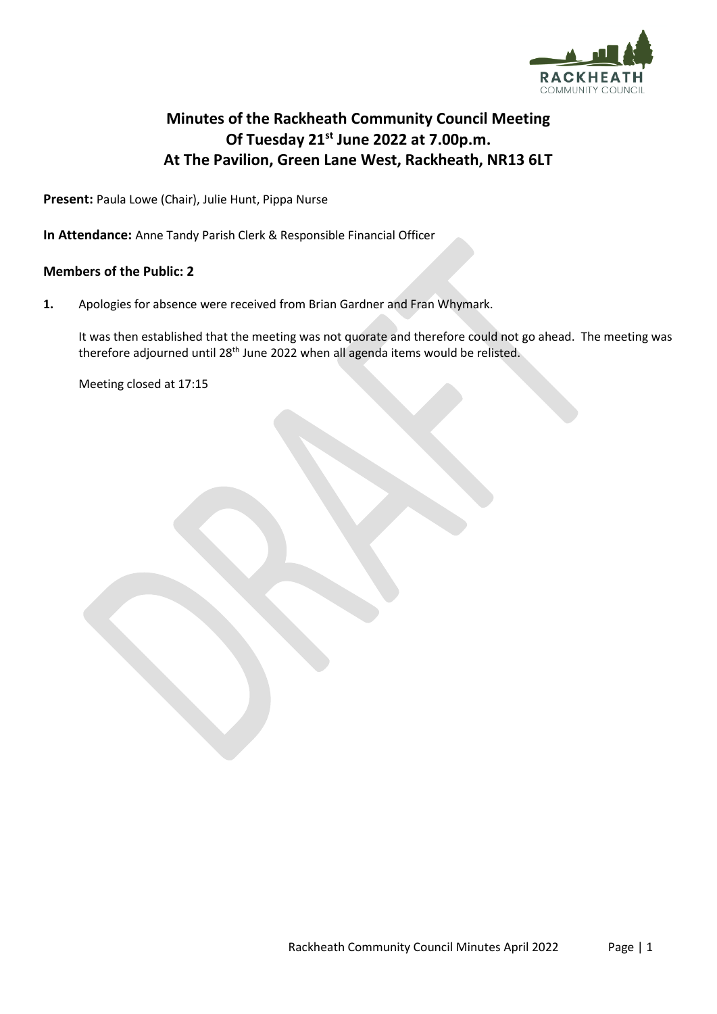

## **Minutes of the Rackheath Community Council Meeting Of Tuesday 21st June 2022 at 7.00p.m. At The Pavilion, Green Lane West, Rackheath, NR13 6LT**

**Present:** Paula Lowe (Chair), Julie Hunt, Pippa Nurse

**In Attendance:** Anne Tandy Parish Clerk & Responsible Financial Officer

## **Members of the Public: 2**

**1.** Apologies for absence were received from Brian Gardner and Fran Whymark.

It was then established that the meeting was not quorate and therefore could not go ahead. The meeting was therefore adjourned until 28<sup>th</sup> June 2022 when all agenda items would be relisted.

Meeting closed at 17:15